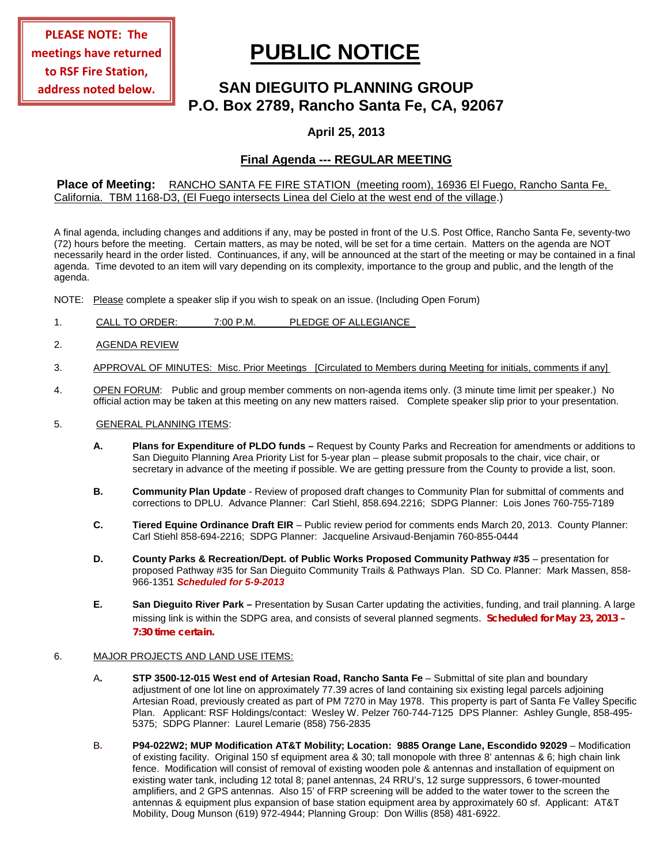# **PUBLIC NOTICE**

# **SAN DIEGUITO PLANNING GROUP P.O. Box 2789, Rancho Santa Fe, CA, 92067**

## **April 25, 2013**

# **Final Agenda --- REGULAR MEETING**

### **Place of Meeting:** RANCHO SANTA FE FIRE STATION (meeting room), 16936 El Fuego, Rancho Santa Fe, California. TBM 1168-D3, (El Fuego intersects Linea del Cielo at the west end of the village.)

A final agenda, including changes and additions if any, may be posted in front of the U.S. Post Office, Rancho Santa Fe, seventy-two (72) hours before the meeting. Certain matters, as may be noted, will be set for a time certain. Matters on the agenda are NOT necessarily heard in the order listed. Continuances, if any, will be announced at the start of the meeting or may be contained in a final agenda. Time devoted to an item will vary depending on its complexity, importance to the group and public, and the length of the agenda.

NOTE: Please complete a speaker slip if you wish to speak on an issue. (Including Open Forum)

- 1. CALL TO ORDER: 7:00 P.M. PLEDGE OF ALLEGIANCE
- 2. AGENDA REVIEW
- 3. APPROVAL OF MINUTES: Misc. Prior Meetings [Circulated to Members during Meeting for initials, comments if any]
- 4. OPEN FORUM: Public and group member comments on non-agenda items only. (3 minute time limit per speaker.) No official action may be taken at this meeting on any new matters raised. Complete speaker slip prior to your presentation.
- 5. GENERAL PLANNING ITEMS:
	- **A. Plans for Expenditure of PLDO funds –** Request by County Parks and Recreation for amendments or additions to San Dieguito Planning Area Priority List for 5-year plan – please submit proposals to the chair, vice chair, or secretary in advance of the meeting if possible. We are getting pressure from the County to provide a list, soon.
	- **B. Community Plan Update** Review of proposed draft changes to Community Plan for submittal of comments and corrections to DPLU. Advance Planner: Carl Stiehl, 858.694.2216; SDPG Planner: Lois Jones 760-755-7189
	- **C. Tiered Equine Ordinance Draft EIR**  Public review period for comments ends March 20, 2013. County Planner: Carl Stiehl 858-694-2216; SDPG Planner: Jacqueline Arsivaud-Benjamin 760-855-0444
	- **D. County Parks & Recreation/Dept. of Public Works Proposed Community Pathway #35** presentation for proposed Pathway #35 for San Dieguito Community Trails & Pathways Plan. SD Co. Planner: Mark Massen, 858- 966-1351 *Scheduled for 5-9-2013*
	- **E. San Dieguito River Park –** Presentation by Susan Carter updating the activities, funding, and trail planning. A large missing link is within the SDPG area, and consists of several planned segments. *Scheduled for May 23, 2013 – 7:30 time certain.*

#### 6. MAJOR PROJECTS AND LAND USE ITEMS:

- A**. STP 3500-12-015 West end of Artesian Road, Rancho Santa Fe** Submittal of site plan and boundary adjustment of one lot line on approximately 77.39 acres of land containing six existing legal parcels adjoining Artesian Road, previously created as part of PM 7270 in May 1978. This property is part of Santa Fe Valley Specific Plan.Applicant: RSF Holdings/contact: Wesley W. Pelzer 760-744-7125 DPS Planner: Ashley Gungle, 858-495- 5375; SDPG Planner: Laurel Lemarie (858) 756-2835
- B**. P94-022W2; MUP Modification AT&T Mobility; Location: 9885 Orange Lane, Escondido 92029** Modification of existing facility. Original 150 sf equipment area & 30; tall monopole with three 8' antennas & 6; high chain link fence. Modification will consist of removal of existing wooden pole & antennas and installation of equipment on existing water tank, including 12 total 8; panel antennas, 24 RRU's, 12 surge suppressors, 6 tower-mounted amplifiers, and 2 GPS antennas. Also 15' of FRP screening will be added to the water tower to the screen the antennas & equipment plus expansion of base station equipment area by approximately 60 sf. Applicant: AT&T Mobility, Doug Munson (619) 972-4944; Planning Group: Don Willis (858) 481-6922.